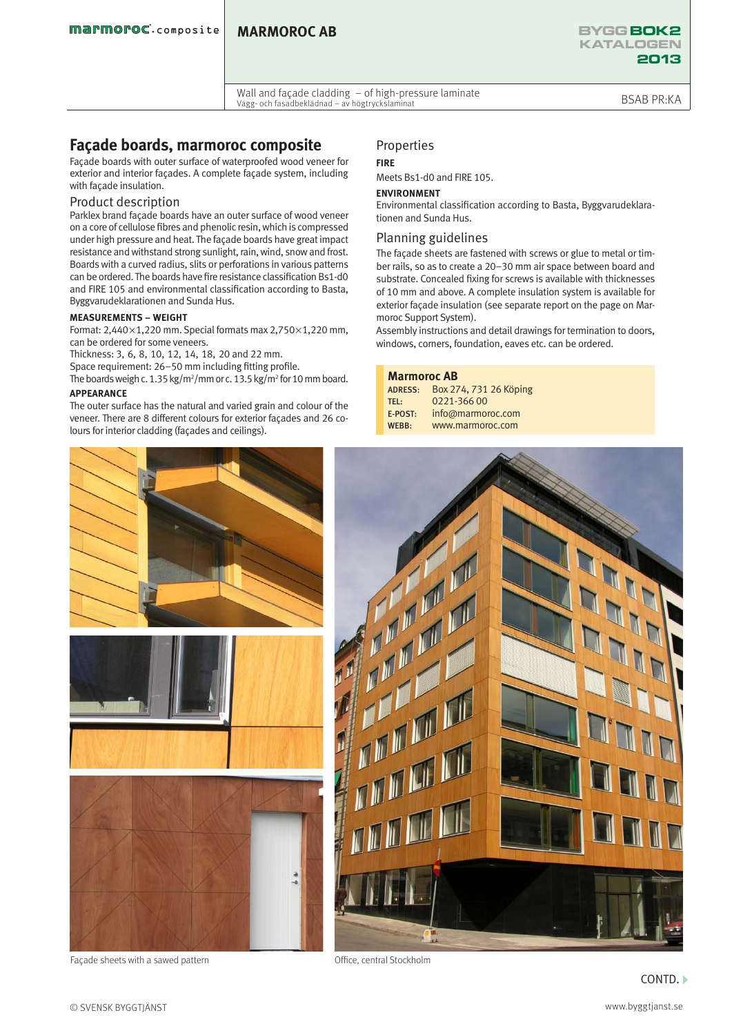Wall and façade cladding – of high-pressure laminate vvätt aftu façade clauding – of high-pressure tammate<br>Vägg- och fasadbeklädnad – av högtryckslaminat

# **Façade boards, marmoroc composite**

Façade boards with outer surface of waterproofed wood veneer for exterior and interior façades. A complete façade system, including with façade insulation.

### Product description

Parklex brand façade boards have an outer surface of wood veneer on a core of cellulose fibres and phenolic resin, which is compressed under high pressure and heat. The façade boards have great impact resistance and withstand strong sunlight, rain, wind, snow and frost. Boards with a curved radius, slits or perforations in various patterns can be ordered. The boards have fire resistance classification Bs1-d0 and FIRE 105 and environmental classification according to Basta, Byggvarudeklarationen and Sunda Hus.

#### **MEASUREMENTS – WEIGHT**

Format: 2,440 $\times$ 1,220 mm. Special formats max 2,750 $\times$ 1,220 mm, can be ordered for some veneers.

Thickness: 3, 6, 8, 10, 12, 14, 18, 20 and 22 mm.

Space requirement: 26–50 mm including fitting profile.

The boards weigh c. 1.35 kg/m<sup>2</sup>/mm or c. 13.5 kg/m<sup>2</sup> for 10 mm board.

### **APPEARANCE**

The outer surface has the natural and varied grain and colour of the veneer. There are 8 different colours for exterior façades and 26 colours for interior cladding (façades and ceilings).

# Properties

### **FIRE**

Meets Bs1-d0 and FIRE 105.

#### **ENVIRONMENT**

Environmental classification according to Basta, Byggvarudeklarationen and Sunda Hus.

## Planning guidelines

The façade sheets are fastened with screws or glue to metal or timber rails, so as to create a 20–30 mm air space between board and substrate. Concealed fixing for screws is available with thicknesses of 10 mm and above. A complete insulation system is available for exterior façade insulation (see separate report on the page on Marmoroc Support System).

Assembly instructions and detail drawings for termination to doors, windows, corners, foundation, eaves etc. can be ordered.

## **Marmoroc AB**

ADRESS: Box 274, 731 26 Köping<br>TEL: 0221-366 00  $0221 - 36600$ E-POST: info@marmoroc.com<br>WEBB: www.marmoroc.com www.marmoroc.com





Facade sheets with a sawed pattern **Example 20** Cffice, central Stockholm